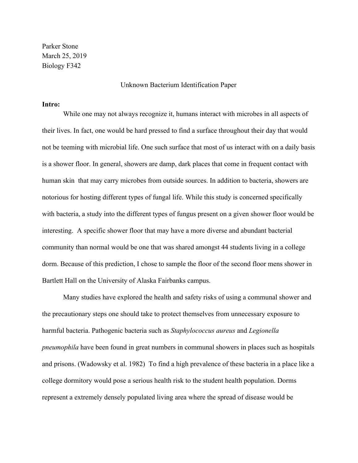Parker Stone March 25, 2019 Biology F342

#### Unknown Bacterium Identification Paper

#### **Intro:**

While one may not always recognize it, humans interact with microbes in all aspects of their lives. In fact, one would be hard pressed to find a surface throughout their day that would not be teeming with microbial life. One such surface that most of us interact with on a daily basis is a shower floor. In general, showers are damp, dark places that come in frequent contact with human skin that may carry microbes from outside sources. In addition to bacteria, showers are notorious for hosting different types of fungal life. While this study is concerned specifically with bacteria, a study into the different types of fungus present on a given shower floor would be interesting. A specific shower floor that may have a more diverse and abundant bacterial community than normal would be one that was shared amongst 44 students living in a college dorm. Because of this prediction, I chose to sample the floor of the second floor mens shower in Bartlett Hall on the University of Alaska Fairbanks campus.

Many studies have explored the health and safety risks of using a communal shower and the precautionary steps one should take to protect themselves from unnecessary exposure to harmful bacteria. Pathogenic bacteria such as *Staphylococcus aureus* and *Legionella pneumophila* have been found in great numbers in communal showers in places such as hospitals and prisons. (Wadowsky et al. 1982) To find a high prevalence of these bacteria in a place like a college dormitory would pose a serious health risk to the student health population. Dorms represent a extremely densely populated living area where the spread of disease would be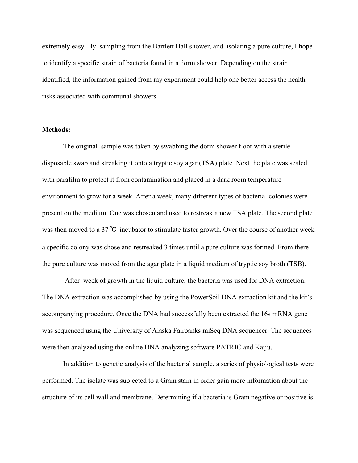extremely easy. By sampling from the Bartlett Hall shower, and isolating a pure culture, I hope to identify a specific strain of bacteria found in a dorm shower. Depending on the strain identified, the information gained from my experiment could help one better access the health risks associated with communal showers.

#### **Methods:**

The original sample was taken by swabbing the dorm shower floor with a sterile disposable swab and streaking it onto a tryptic soy agar (TSA) plate. Next the plate was sealed with parafilm to protect it from contamination and placed in a dark room temperature environment to grow for a week. After a week, many different types of bacterial colonies were present on the medium. One was chosen and used to restreak a new TSA plate. The second plate was then moved to a 37℃ incubator to stimulate faster growth. Over the course of another week a specific colony was chose and restreaked 3 times until a pure culture was formed. From there the pure culture was moved from the agar plate in a liquid medium of tryptic soy broth (TSB).

 After week of growth in the liquid culture, the bacteria was used for DNA extraction. The DNA extraction was accomplished by using the PowerSoil DNA extraction kit and the kit's accompanying procedure. Once the DNA had successfully been extracted the 16s mRNA gene was sequenced using the University of Alaska Fairbanks miSeq DNA sequencer. The sequences were then analyzed using the online DNA analyzing software PATRIC and Kaiju.

In addition to genetic analysis of the bacterial sample, a series of physiological tests were performed. The isolate was subjected to a Gram stain in order gain more information about the structure of its cell wall and membrane. Determining if a bacteria is Gram negative or positive is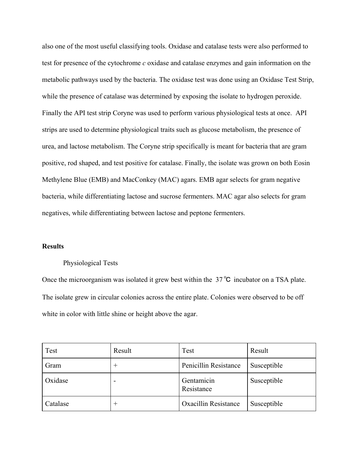also one of the most useful classifying tools. Oxidase and catalase tests were also performed to test for presence of the cytochrome *c* oxidase and catalase enzymes and gain information on the metabolic pathways used by the bacteria. The oxidase test was done using an Oxidase Test Strip, while the presence of catalase was determined by exposing the isolate to hydrogen peroxide. Finally the API test strip Coryne was used to perform various physiological tests at once. API strips are used to determine physiological traits such as glucose metabolism, the presence of urea, and lactose metabolism. The Coryne strip specifically is meant for bacteria that are gram positive, rod shaped, and test positive for catalase. Finally, the isolate was grown on both Eosin Methylene Blue (EMB) and MacConkey (MAC) agars. EMB agar selects for gram negative bacteria, while differentiating lactose and sucrose fermenters. MAC agar also selects for gram negatives, while differentiating between lactose and peptone fermenters.

## **Results**

#### Physiological Tests

Once the microorganism was isolated it grew best within the 37℃ incubator on a TSA plate. The isolate grew in circular colonies across the entire plate. Colonies were observed to be off white in color with little shine or height above the agar.

| Test     | Result   | Test                        | Result      |  |
|----------|----------|-----------------------------|-------------|--|
| Gram     | $\,+\,$  | Penicillin Resistance       | Susceptible |  |
| Oxidase  | -        | Gentamicin<br>Resistance    | Susceptible |  |
| Catalase | $\,{}^+$ | <b>Oxacillin Resistance</b> | Susceptible |  |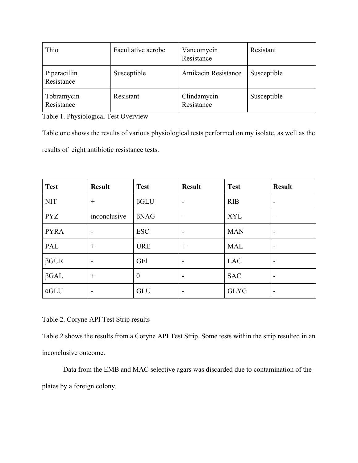| Thio                       | Facultative aerobe | Vancomycin<br>Resistance  | Resistant   |
|----------------------------|--------------------|---------------------------|-------------|
| Piperacillin<br>Resistance | Susceptible        | Amikacin Resistance       | Susceptible |
| Tobramycin<br>Resistance   | Resistant          | Clindamycin<br>Resistance | Susceptible |

Table 1. Physiological Test Overview

Table one shows the results of various physiological tests performed on my isolate, as well as the results of eight antibiotic resistance tests.

| <b>Test</b> | <b>Result</b>            | <b>Test</b>      | <b>Result</b>            | <b>Test</b> | <b>Result</b> |
|-------------|--------------------------|------------------|--------------------------|-------------|---------------|
| <b>NIT</b>  | $^{+}$                   | $\beta$ GLU      | $\overline{\phantom{0}}$ | <b>RIB</b>  | -             |
| <b>PYZ</b>  | inconclusive             | $\beta$ NAG      | $\overline{\phantom{a}}$ | <b>XYL</b>  | -             |
| <b>PYRA</b> | $\overline{\phantom{0}}$ | <b>ESC</b>       | $\overline{\phantom{0}}$ | <b>MAN</b>  | -             |
| PAL         | $^{+}$                   | <b>URE</b>       | $^{+}$                   | <b>MAL</b>  | -             |
| $\beta GUR$ |                          | <b>GE1</b>       | $\overline{\phantom{a}}$ | <b>LAC</b>  | -             |
| $\beta$ GAL | $^{+}$                   | $\boldsymbol{0}$ | $\overline{\phantom{0}}$ | <b>SAC</b>  | -             |
| aGLU        | -                        | <b>GLU</b>       | $\overline{\phantom{0}}$ | <b>GLYG</b> | -             |

Table 2. Coryne API Test Strip results

Table 2 shows the results from a Coryne API Test Strip. Some tests within the strip resulted in an inconclusive outcome.

Data from the EMB and MAC selective agars was discarded due to contamination of the plates by a foreign colony.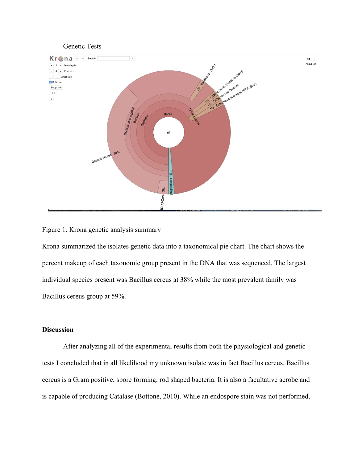

## Figure 1. Krona genetic analysis summary

Krona summarized the isolates genetic data into a taxonomical pie chart. The chart shows the percent makeup of each taxonomic group present in the DNA that was sequenced. The largest individual species present was Bacillus cereus at 38% while the most prevalent family was Bacillus cereus group at 59%.

# **Discussion**

After analyzing all of the experimental results from both the physiological and genetic tests I concluded that in all likelihood my unknown isolate was in fact Bacillus cereus. Bacillus cereus is a Gram positive, spore forming, rod shaped bacteria. It is also a facultative aerobe and is capable of producing Catalase (Bottone, 2010). While an endospore stain was not performed,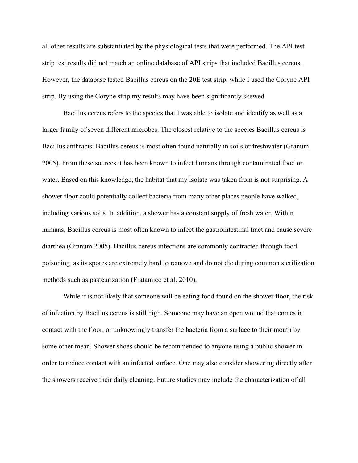all other results are substantiated by the physiological tests that were performed. The API test strip test results did not match an online database of API strips that included Bacillus cereus. However, the database tested Bacillus cereus on the 20E test strip, while I used the Coryne API strip. By using the Coryne strip my results may have been significantly skewed.

Bacillus cereus refers to the species that I was able to isolate and identify as well as a larger family of seven different microbes. The closest relative to the species Bacillus cereus is Bacillus anthracis. Bacillus cereus is most often found naturally in soils or freshwater (Granum 2005). From these sources it has been known to infect humans through contaminated food or water. Based on this knowledge, the habitat that my isolate was taken from is not surprising. A shower floor could potentially collect bacteria from many other places people have walked, including various soils. In addition, a shower has a constant supply of fresh water. Within humans, Bacillus cereus is most often known to infect the gastrointestinal tract and cause severe diarrhea (Granum 2005). Bacillus cereus infections are commonly contracted through food poisoning, as its spores are extremely hard to remove and do not die during common sterilization methods such as pasteurization (Fratamico et al. 2010).

While it is not likely that someone will be eating food found on the shower floor, the risk of infection by Bacillus cereus is still high. Someone may have an open wound that comes in contact with the floor, or unknowingly transfer the bacteria from a surface to their mouth by some other mean. Shower shoes should be recommended to anyone using a public shower in order to reduce contact with an infected surface. One may also consider showering directly after the showers receive their daily cleaning. Future studies may include the characterization of all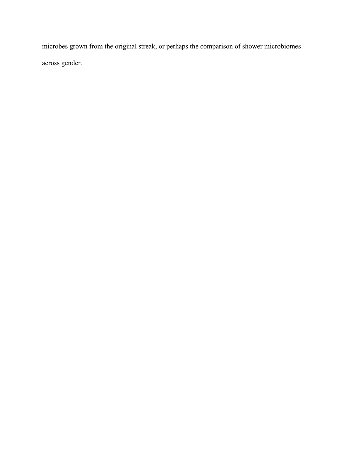microbes grown from the original streak, or perhaps the comparison of shower microbiomes across gender.